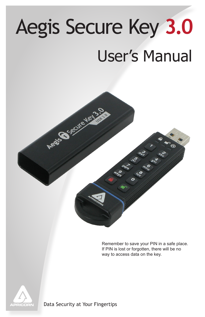# Aegis Secure Key **3.0** User's Manual



Remember to save your PIN in a safe place. If PIN is lost or forgotten, there will be no way to access data on the key.



Data Security at Your Fingertips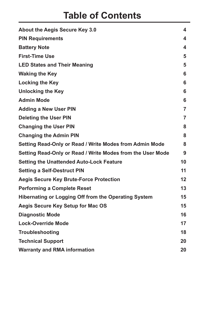### **Table of Contents**

| About the Aegis Secure Key 3.0                             | $\overline{\mathbf{4}}$ |  |
|------------------------------------------------------------|-------------------------|--|
| <b>PIN Requirements</b>                                    |                         |  |
| <b>Battery Note</b>                                        |                         |  |
| <b>First-Time Use</b>                                      | 5                       |  |
| <b>LED States and Their Meaning</b>                        | 5                       |  |
| <b>Waking the Key</b>                                      | 6                       |  |
| <b>Locking the Key</b>                                     | 6                       |  |
| <b>Unlocking the Key</b>                                   | 6                       |  |
| <b>Admin Mode</b>                                          | 6                       |  |
| <b>Adding a New User PIN</b>                               | 7                       |  |
| <b>Deleting the User PIN</b>                               | $\overline{7}$          |  |
| <b>Changing the User PIN</b>                               | 8                       |  |
| <b>Changing the Admin PIN</b>                              | 8                       |  |
| Setting Read-Only or Read / Write Modes from Admin Mode    |                         |  |
| Setting Read-Only or Read / Write Modes from the User Mode | 9                       |  |
| <b>Setting the Unattended Auto-Lock Feature</b>            | 10                      |  |
| <b>Setting a Self-Destruct PIN</b>                         |                         |  |
| <b>Aegis Secure Key Brute-Force Protection</b>             |                         |  |
| <b>Performing a Complete Reset</b>                         |                         |  |
| Hibernating or Logging Off from the Operating System       |                         |  |
| Aegis Secure Key Setup for Mac OS                          | 15                      |  |
| <b>Diagnostic Mode</b>                                     | 16                      |  |
| Lock-Override Mode                                         | 17                      |  |
| Troubleshooting                                            | 18                      |  |
| <b>Technical Support</b>                                   |                         |  |
| <b>Warranty and RMA information</b>                        |                         |  |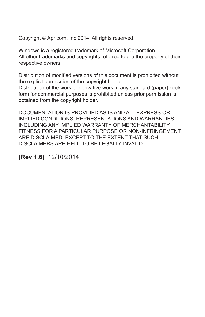Copyright © Apricorn, Inc 2014. All rights reserved.

Windows is a registered trademark of Microsoft Corporation. All other trademarks and copyrights referred to are the property of their respective owners.

Distribution of modified versions of this document is prohibited without the explicit permission of the copyright holder.

Distribution of the work or derivative work in any standard (paper) book form for commercial purposes is prohibited unless prior permission is obtained from the copyright holder.

DOCUMENTATION IS PROVIDED AS IS AND ALL EXPRESS OR IMPLIED CONDITIONS, REPRESENTATIONS AND WARRANTIES, INCLUDING ANY IMPLIED WARRANTY OF MERCHANTABILITY, FITNESS FOR A PARTICULAR PURPOSE OR NON-INFRINGEMENT, ARE DISCLAIMED, EXCEPT TO THE EXTENT THAT SUCH DISCLAIMERS ARE HELD TO BE LEGALLY INVALID

**(Rev 1.6)** 12/10/2014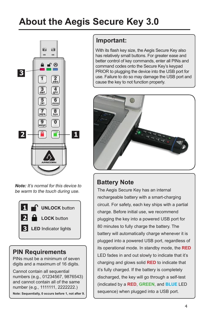# **About the Aegis Secure Key 3.0**



*Note: It's normal for this device to be warm to the touch during use.*



### **PIN Requirements**

PINs must be a minimum of seven digits and a maximum of 16 digits.

Cannot contain all sequential numbers (e.g., 01234567, 9876543) and cannot contain all of the same number (e.g., 1111111, 2222222.) **Note: Sequentially, 0 occurs before 1, not after 9.**

### **Important:**

With its flash key size, the Aegis Secure Key also has relatively small buttons. For greater ease and better control of key commands, enter all PINs and command codes onto the Secure Key's keypad PRIOR to plugging the device into the USB port for use. Failure to do so may damage the USB port and cause the key to not function properly.



### **Battery Note**

The Aegis Secure Key has an internal rechargeable battery with a smart-charging circuit. For safety, each key ships with a partial charge. Before initial use, we recommend plugging the key into a powered USB port for 80 minutes to fully charge the battery. The battery will automatically charge whenever it is plugged into a powered USB port, regardless of its operational mode. In standby mode, the **RED**  LED fades in and out slowly to indicate that it's charging and glows solid **RED** to indicate that it's fully charged. If the battery is completely discharged, the key will go through a self-test (indicated by a **RED**, **GREEN**, and **BLUE** LED sequence) when plugged into a USB port.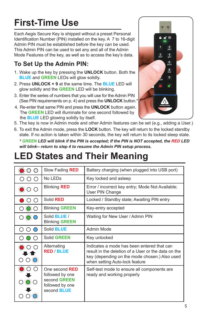# **First-Time Use**

Each Aegis Secure Key is shipped without a preset Personal Identification Number (PIN) installed on the key. A 7 to 16-digit Admin PIN must be established before the key can be used. This Admin PIN can be used to set any and all of the Admin Mode Features of the key, as well as to access the key's data.

### **To Set Up the Admin PIN:**

- 1. Wake up the key by pressing the **UNLOCK** button. Both the **BLUE** and **GREEN** LEDs will glow solidly.
- 2. Press **UNLOCK + 9** at the same time. The **BLUE** LED will glow solidly and the **GREEN** LED will be blinking.
- 3. Enter the series of numbers that you will use for the Admin PIN (See PIN requirements on p. 4) and press the **UNLOCK** button.\*
- 4. Re-enter that same PIN and press the **UNLOCK** button again. The **GREEN** LED will illuminate for one second followed by the **BLUE** LED glowing solidly by itself.



- 5. The key is now in Admin mode and other Admin features can be set (e.g., adding a User.)
- 6. To exit the Admin mode, press the **LOCK** button. The key will return to the locked standby state. If no action is taken within 30 seconds, the key will return to its locked sleep state. *\* GREEN LED will blink if the PIN is accepted; If the PIN is NOT accepted, the RED LED*

### *will blink-- return to step 4 to resume the Admin PIN setup process.* **LED States and Their Meaning**

| $: \bullet$ : $\bigcirc$                    | Slow Fading <b>RED</b>                                                                            | Battery charging (when plugged into USB port)                                                                                                                                        |
|---------------------------------------------|---------------------------------------------------------------------------------------------------|--------------------------------------------------------------------------------------------------------------------------------------------------------------------------------------|
| $\left( \right)$                            | No LED <sub>s</sub>                                                                               | Key locked and asleep                                                                                                                                                                |
| $\clubsuit$                                 | <b>Blinking RED</b>                                                                               | Error / incorrect key entry; Mode Not Available;<br>User PIN Change                                                                                                                  |
|                                             | Solid <b>RED</b>                                                                                  | Locked / Standby state; Awaiting PIN entry                                                                                                                                           |
| :∩ ∩                                        | <b>Blinking GREEN</b>                                                                             | Key-entry accepted                                                                                                                                                                   |
| :0 O                                        | Solid <b>BLUE</b> /<br><b>Blinking GREEN</b>                                                      | Waiting for New User / Admin PIN                                                                                                                                                     |
| $\left(\begin{array}{c} \end{array}\right)$ | Solid <b>BLUE</b>                                                                                 | Admin Mode                                                                                                                                                                           |
| ( )                                         | Solid GREEN                                                                                       | Key unlocked                                                                                                                                                                         |
| IO.                                         | Alternating<br><b>RED / BLUE</b>                                                                  | Indicates a mode has been entered that can<br>result in the deletion of a User or the data on the<br>key (depending on the mode chosen.) Also used<br>when setting Auto-lock feature |
|                                             | One second <b>RED</b><br>followed by one<br>second GREEN<br>followed by one<br>second <b>BLUE</b> | Self-test mode to ensure all components are.<br>ready and working properly                                                                                                           |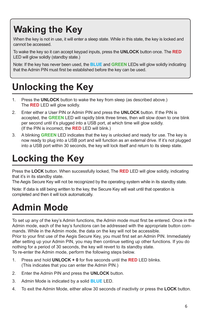# **Waking the Key**

When the key is not in use, it will enter a sleep state. While in this state, the key is locked and cannot be accessed.

To wake the key so it can accept keypad inputs, press the **UNLOCK** button once. The **RED**  LED will glow solidly (standby state.)

Note: If the key has never been used, the **BLUE** and **GREEN** LEDs will glow solidly indicating that the Admin PIN must first be established before the key can be used.

# **Unlocking the Key**

- 1. Press the **UNLOCK** button to wake the key from sleep (as described above.) The **RED** LED will glow solidly.
- 2. Enter either a User PIN or Admin PIN and press the **UNLOCK** button. If the PIN is accepted, the **GREEN** LED will rapidly blink three times, then will slow down to one blink per second until it's plugged into a USB port, at which time will glow solidly. (If the PIN is incorrect, the **RED** LED will blink.)
- 3. A blinking **GREEN** LED indicates that the key is unlocked and ready for use. The key is now ready to plug into a USB port and will function as an external drive. If it's not plugged into a USB port within 30 seconds, the key will lock itself and return to its sleep state.

# **Locking the Key**

Press the **LOCK** button. When successfully locked, The **RED** LED will glow solidly, indicating that it's in its standby state.

The Aegis Secure Key will not be recognized by the operating system while in its standby state.

Note: If data is still being written to the key, the Secure Key will wait until that operation is completed and then it will lock automatically.

### **Admin Mode**

To set up any of the key's Admin functions, the Admin mode must first be entered. Once in the Admin mode, each of the key's functions can be addressed with the appropriate button commands. While in the Admin mode, the data on the key will not be accessible. Prior to your first use of the Aegis Secure Key, you must first set an Admin PIN. Immediately after setting up your Admin PIN, you may then continue setting up other functions. If you do nothing for a period of 30 seconds, the key will revert to its standby state. To re-enter the Admin mode, perform the following steps below.

- 1. Press and hold **UNLOCK + 0** for five seconds until the **RED** LED blinks. (This indicates that you can enter the Admin PIN.)
- 2. Enter the Admin PIN and press the **UNLOCK** button.
- 3. Admin Mode is indicated by a solid **BLUE** LED.
- 4. To exit the Admin Mode, either allow 30 seconds of inactivity or press the **LOCK** button.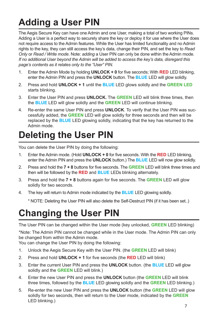# **Adding a User PIN**

The Aegis Secure Key can have one Admin and one User, making a total of two working PINs. Adding a User is a perfect way to securely share the key or deploy it for use where the User does not require access to the Admin features. While the User has limited functionality and no Admin rights to the key, they can still access the key's data, change their PIN, and set the key to *Read Only* or *Read / Write mode*. Note: *adding* a User PIN can only be done within the Admin mode. *If no additional User beyond the Admin will be added to access the key's data, disregard this page's contents as it relates only to the "User" PIN.* 

- 1. Enter the Admin Mode by holding **UNLOCK + 0** for five seconds; With **RED** LED blinking, enter the Admin PIN and press the **UNLOCK** button. The **BLUE** LED will glow solidly.
- 2. Press and hold **UNLOCK + 1** until the **BLUE** LED glows solidly and the **GREEN LED**  starts blinking.
- 3. Enter the User PIN and press **UNLOCK.** The **GREEN** LED will blink three times, then the **BLUE** LED will glow solidly and the **GREEN** LED will continue blinking.
- 4. Re-enter the same User PIN and press **UNLOCK**. To verify that the User PIN was successfully added, the **GREEN** LED will glow solidly for three seconds and then will be replaced by the **BLUE** LED glowing solidly, indicating that the key has returned to the Admin mode.

### **Deleting the User PIN**

You can delete the User PIN by doing the following:

- 1. Enter the Admin mode. (Hold **UNLOCK + 0** for five seconds. With the **RED** LED blinking, enter the Admin PIN and press the **UNLOCK** button.) The **BLUE** LED will now glow solidly.
- 2. Press and hold the **7 + 8** buttons for five seconds. The **GREEN** LED will blink three times and then will be followed by the **RED** and **BLUE** LEDs blinking alternately.
- 3. Press and hold the **7 + 8** buttons again for five seconds. The **GREEN** LED will glow solidly for two seconds.
- 4. The key will return to Admin mode indicated by the **BLUE** LED glowing solidly.

\* NOTE: Deleting the User PIN will also delete the Self-Destruct PIN (if it has been set..)

### **Changing the User PIN**

The User PIN can be changed within the User mode (key unlocked, **GREEN** LED blinking)

\*Note: The Admin PIN cannot be changed while in the User mode. The Admin PIN can only be changed from within the Admin mode.

You can change the User PIN by doing the following:

- 1. Unlock the Aegis Secure Key with the User PIN. (the **GREEN** LED will blink)
- 2. Press and hold **UNLOCK + 1** for five seconds (the **RED** LED will blink)
- 3. Enter the current User PIN and press the **UNLOCK** button. (the **BLUE** LED will glow solidly and the **GREEN** LED will blink.)
- 4. Enter the new User PIN and press the **UNLOCK** button (the **GREEN** LED will blink three times, followed by the **BLUE** LED glowing solidly and the **GREEN** LED blinking.)
- 5. Re-enter the new User PIN and press the **UNLOCK** button (the **GREEN** LED will glow solidly for two seconds, then will return to the User mode, indicated by the **GREEN**  LED blinking.)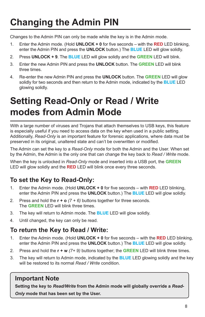# **Changing the Admin PIN**

Changes to the Admin PIN can only be made while the key is in the Admin mode.

- 1. Enter the Admin mode. (Hold **UNLOCK + 0** for five seconds with the **RED** LED blinking, enter the Admin PIN and press the **UNLOCK** button.) The **BLUE** LED will glow solidly.
- 2. Press **UNLOCK + 9**. The **BLUE** LED will glow solidly and the **GREEN** LED will blink.
- 3. Enter the new Admin PIN and press the **UNLOCK** button. The **GREEN** LED will blink three times.
- 4. Re-enter the new Admin PIN and press the **UNLOCK** button. The **GREEN** LED will glow solidly for two seconds and then return to the Admin mode, indicated by the **BLUE** LED glowing solidly.

### **Setting Read-Only or Read / Write modes from Admin Mode**

With a large number of viruses and Trojans that attach themselves to USB keys, this feature is especially useful if you need to access data on the key when used in a public setting. Additionally, *Read-Only* is an important feature for forensic applications, where data must be preserved in its original, unaltered state and can't be overwritten or modified.

The Admin can set the key to a *Read-Only* mode for both the Admin and the User. When set by the Admin, the Admin is the only one that can change the key back to *Read / Write* mode.

When the key is unlocked in *Read-Only* mode and inserted into a USB port, the **GREEN** LED will glow solidly and the **RED** LED will blink once every three seconds.

### **To set the Key to Read-Only:**

- 1. Enter the Admin mode. (Hold **UNLOCK + 0** for five seconds with **RED** LED blinking, enter the Admin PIN and press the **UNLOCK** button.) The **BLUE** LED will glow solidly.
- 2. Press and hold the **r + o** *(7 + 6)* buttons together for three seconds. The **GREEN** LED will blink three times.
- 3. The key will return to Admin mode. The **BLUE** LED will glow solidly.
- 4. Until changed, the key can only be read.

### **To return the Key to Read / Write:**

- 1. Enter the Admin mode. (Hold **UNLOCK + 0** for five seconds with the **RED** LED blinking, enter the Admin PIN and press the **UNLOCK** button.) The **BLUE** LED will glow solidly.
- 2. Press and hold the **r + w** *(7+ 9)* buttons together; the **GREEN** LED will blink three times.
- 3. The key will return to Admin mode, indicated by the **BLUE** LED glowing solidly and the key will be restored to its normal *Read / Write* condition.

### **Important Note**

**Setting the key to** *Read/Write* **from the Admin mode will globally override a** *Read-*

*Only* **mode that has been set by the User.**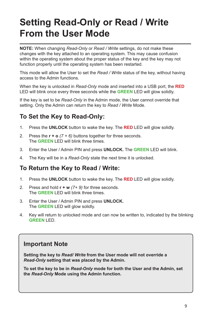### **Setting Read-Only or Read / Write From the User Mode**

**NOTE:** When changing *Read-Only* or *Read / Write* settings, do not make these changes with the key attached to an operating system. This may cause confusion within the operating system about the proper status of the key and the key may not function properly until the operating system has been restarted.

This mode will allow the User to set the *Read / Write* status of the key, without having access to the Admin functions.

When the key is unlocked in *Read-Only* mode and inserted into a USB port, the **RED** LED will blink once every three seconds while the **GREEN** LED will glow solidly.

If the key is set to be *Read-Only* in the Admin mode, the User cannot override that setting. Only the Admin can return the key to *Read / Write* Mode.

### **To Set the Key to Read-Only:**

- 1. Press the **UNLOCK** button to wake the key. The **RED** LED will glow solidly.
- 2. Press the **r + o** *(7 + 6)* buttons together for three seconds. The **GREEN** LED will blink three times.
- 3. Enter the User / Admin PIN and press **UNLOCK.** The **GREEN** LED will blink.
- 4. The Key will be in a *Read-Only* state the next time it is unlocked.

### **To Return the Key to Read / Write:**

- 1. Press the **UNLOCK** button to wake the key. The **RED** LED will glow solidly.
- 2. Press and hold **r + w** *(7+ 9)* for three seconds. The **GREEN** LED will blink three times.
- 3. Enter the User / Admin PIN and press **UNLOCK.** The **GREEN** LED will glow solidly.
- 4. Key will return to unlocked mode and can now be written to, indicated by the blinking **GREEN** LED.

### **Important Note**

**Setting the key to** *Read/ Write* **from the User mode will not override a** *Read-Only* **setting that was placed by the Admin.**

**To set the key to be in** *Read-Only* **mode for both the User and the Admin, set the** *Read-Only* **Mode using the Admin function.**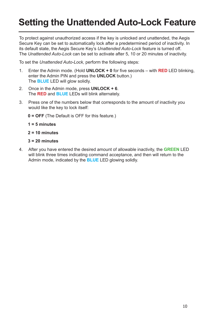### **Setting the Unattended Auto-Lock Feature**

To protect against unauthorized access if the key is unlocked and unattended, the Aegis Secure Key can be set to automatically lock after a predetermined period of inactivity. In its default state, the Aegis Secure Key's *Unattended Auto-Lock* feature is turned off. The *Unattended Auto-Lock* can be set to activate after 5, 10 or 20 minutes of inactivity.

To set the *Unattended Auto-Lock,* perform the following steps:

- 1. Enter the Admin mode. (Hold **UNLOCK + 0** for five seconds with **RED** LED blinking, enter the Admin PIN and press the **UNLOCK** button.) The **BLUE** LED will glow solidly.
- 2. Once in the Admin mode, press **UNLOCK + 6**. The **RED** and **BLUE** LEDs will blink alternately.
- 3. Press one of the numbers below that corresponds to the amount of inactivity you would like the key to lock itself:

**0 = OFF** (The Default is OFF for this feature.)

- **1 = 5 minutes**
- **2 = 10 minutes**
- **3 = 20 minutes**
- 4. After you have entered the desired amount of allowable inactivity, the **GREEN** LED will blink three times indicating command acceptance, and then will return to the Admin mode, indicated by the **BLUE** LED glowing solidly.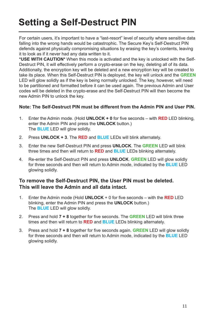# **Setting a Self-Destruct PIN**

For certain users, it's important to have a "last-resort" level of security where sensitive data falling into the wrong hands would be catastrophic. The Secure Key's Self-Destruct PIN defends against physically compromising situations by erasing the key's contents, leaving it to look as if it never had any data written to it.

**\*USE WITH CAUTION\*** When this mode is activated and the key is unlocked with the Self-Destruct PIN, it will effectively perform a crypto-erase on the key, deleting all of its data. Additionally, the encryption key will be deleted and a new encryption key will be created to take its place. When this Self-Destruct PIN is deployed, the key will unlock and the **GREEN** LED will glow solidly as if the key is being normally unlocked. The key, however, will need to be partitioned and formatted before it can be used again. The previous Admin and User codes will be deleted in the crypto-erase and the Self-Destruct PIN will then become the new Admin PIN to unlock the key.

#### **Note: The Self-Destruct PIN must be different from the Admin PIN and User PIN.**

- 1. Enter the Admin mode. (Hold **UNLOCK + 0** for five seconds with **RED** LED blinking, enter the Admin PIN and press the **UNLOCK** button.) The **BLUE** LED will glow solidly.
- 2. Press **UNLOCK + 3**. The **RED** and **BLUE** LEDs will blink alternately.
- 3. Enter the new Self-Destruct PIN and press **UNLOCK**. The **GREEN** LED will blink three times and then will return to **RED** and **BLUE** LEDs blinking alternately.
- 4. Re-enter the Self-Destruct PIN and press **UNLOCK**. **GREEN** LED will glow solidly for three seconds and then will return to Admin mode, indicated by the **BLUE** LED glowing solidly.

#### **To remove the Self-Destruct PIN, the User PIN must be deleted. This will leave the Admin and all data intact.**

- 1. Enter the Admin mode (Hold **UNLOCK** + 0 for five seconds with the **RED** LED blinking, enter the Admin PIN and press the **UNLOCK** button.) The **BLUE** LED will glow solidly.
- 2. Press and hold **7 + 8** together for five seconds. The **GREEN** LED will blink three times and then will return to **RED** and **BLUE** LEDs blinking alternately.
- 3. Press and hold **7 + 8** together for five seconds again. **GREEN** LED will glow solidly for three seconds and then will return to Admin mode, indicated by the **BLUE** LED glowing solidly.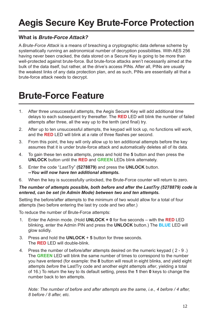# **Aegis Secure Key Brute-Force Protection**

#### **What is** *Brute-Force Attack?*

A *Brute-Force Attack* is a means of breaching a cryptographic data defense scheme by systematically running an astronomical number of decryption possibilities. With AES 256 having never been cracked, the data stored on a Secure Key is going to be more than well-protected against brute-force. But brute-force attacks aren't necessarily aimed at the bulk of the data itself, but rather, at the drive's access PINs. After all, PINs are usually the weakest links of any data protection plan, and as such, PINs are essentially all that a brute-force attack needs to decrypt.

### **Brute-Force Feature**

- 1. After three unsuccessful attempts, the Aegis Secure Key will add additional time delays to each subsequent try thereafter. The **RED** LED will blink the number of failed attempts after three, all the way up to the tenth (and final) try.
- 2. After up to ten unsuccessful attempts, the keypad will lock up, no functions will work, and the **RED** LED will blink at a rate of three flashes per second.
- 3. From this point, the key will only allow up to ten additional attempts before the key assumes that it is under brute-force attack and automatically deletes all of its data.
- 4. To gain these ten extra attempts, press and hold the **5** button and then press the **UNLOCK** button until the **RED** and **GREEN** LEDs blink alternately.
- 5. Enter the code "*LastTry*" **(5278879)** and press the **UNLOCK** button. *--You will now have ten additional attempts.*
- 6. When the key is successfully unlocked, the Brute-Force counter will return to zero.

#### *The number of attempts possible, both before and after the LastTry (5278879) code is entered, can be set (in Admin Mode) between two and ten attempts.*

Setting the before/after attempts to the minimum of two would allow for a total of four attempts (two before entering the last try code and two after.)

To reduce the number of Brute-Force attempts:

- 1. Enter the Admin mode. (Hold **UNLOCK + 0** for five seconds with the **RED** LED blinking, enter the Admin PIN and press the **UNLOCK** button.) The **BLUE** LED will glow solidly.
- 3. Press and hold the **UNLOCK** + **5** button for three seconds. The **RED** LED will double-blink.
- 4. Press the number of before/after attempts desired on the numeric keypad ( 2 9 .) The **GREEN** LED will blink the same number of times to correspond to the number you have entered (for example: the **8** button will result in eight blinks, and yield eight attempts *before* the LastTry code and another eight attempts *after*, yielding a total of 16.) To return the key to its default setting, press the **1** then **0** keys to change the number back to ten attempts.

*Note: The number of before and after attempts are the same, i.e., 4 before / 4 after, 8 before / 8 after, etc.*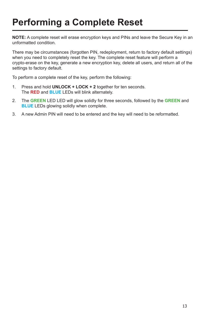# **Performing a Complete Reset**

**NOTE:** A complete reset will erase encryption keys and PINs and leave the Secure Key in an unformatted condition.

There may be circumstances (forgotten PIN, redeployment, return to factory default settings) when you need to completely reset the key. The complete reset feature will perform a crypto-erase on the key, generate a new encryption key, delete all users, and return all of the settings to factory default.

To perform a complete reset of the key, perform the following:

- 1. Press and hold **UNLOCK + LOCK + 2** together for ten seconds. The **RED** and **BLUE** LEDs will blink alternately.
- 2. The **GREEN** LED LED will glow solidly for three seconds, followed by the **GREEN** and **BLUE** LEDs glowing solidly when complete.
- 3. A new Admin PIN will need to be entered and the key will need to be reformatted.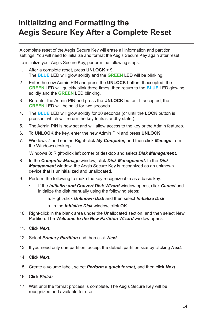### **Initializing and Formatting the Aegis Secure Key After a Complete Reset**

A complete reset of the Aegis Secure Key will erase all information and partition settings. You will need to initialize and format the Aegis Secure Key again after reset.

To initialize your Aegis Secure Key, perform the following steps:

- 1. After a complete reset, press **UNLOCK + 9**. The **BLUE** LED will glow solidly and the **GREEN** LED will be blinking.
- 2. Enter the new Admin PIN and press the **UNLOCK** button. If accepted, the **GREEN** LED will quickly blink three times, then return to the **BLUE** LED glowing solidly and the **GREEN** LED blinking.
- 3. Re-enter the Admin PIN and press the **UNLOCK** button. If accepted, the **GREEN** LED will be solid for two seconds.
- 4. The **BLUE** LED will glow solidly for 30 seconds (or until the **LOCK** button is pressed, which will return the key to its standby state.)
- 5. The Admin PIN is now set and will allow access to the key or the Admin features.
- 6. To **UNLOCK** the key, enter the new Admin PIN and press **UNLOCK**.
- 7. Windows 7 and earlier: Right-click *My Computer,* and then click *Manage* from the Windows desktop.

Windows 8: Right-click left corner of desktop and select *Disk Management.*

- 8. In the *Computer Manage* window, click *Disk Management.* In the *Disk Management* window, the Aegis Secure Key is recognized as an unknown device that is uninitialized and unallocated.
- 9. Perform the following to make the key recognizeable as a basic key.
	- If the *Initialize and Convert Disk Wizard* window opens, click *Cancel* and initialize the disk manually using the following steps:
		- a. Right-click *Unknown Disk* and then select *Initialize Disk*.
		- b. In the *Initialize Disk* window, click **OK**.
- 10. Right-click in the blank area under the Unallocated section, and then select New Partition. The *Welcome to the New Partition Wizard* window opens.
- 11. Click *Next*.
- 12. Select *Primary Partition* and then click *Next*.
- 13. If you need only one partition, accept the default partition size by clicking *Next*.
- 14. Click *Next*.
- 15. Create a volume label, select *Perform a quick format,* and then click *Next*.
- 16. Click *Finish*.
- 17. Wait until the format process is complete. The Aegis Secure Key will be recognized and available for use.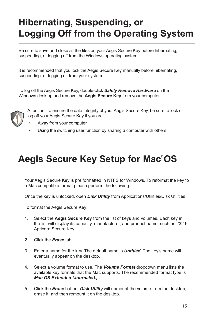# **Hibernating, Suspending, or Logging Off from the Operating System**

Be sure to save and close all the files on your Aegis Secure Key before hibernating, suspending, or logging off from the Windows operating system.

It is recommended that you lock the Aegis Secure Key manually before hibernating, suspending, or logging off from your system.

To log off the Aegis Secure Key, double-click *Safely Remove Hardware* on the Windows desktop and remove the **Aegis Secure Key** from your computer.



Attention: To ensure the data integrity of your Aegis Secure Key, be sure to lock or log off your Aegis Secure Key if you are:

- Away from your computer
- Using the switching user function by sharing a computer with others

# **Aegis Secure Key Setup for Mac OS**

Your Aegis Secure Key is pre formatted in NTFS for Windows. To reformat the key to a Mac compatible format please perform the following:

Once the key is unlocked, open *Disk Utility* from Applications/Utilities/Disk Utilities.

To format the Aegis Secure Key:

- 1. Select the **Aegis Secure Key** from the list of keys and volumes. Each key in the list will display its capacity, manufacturer, and product name, such as 232.9 Apricorn Secure Key.
- 2. Click the *Erase* tab.
- 3. Enter a name for the key. The default name is *Untitled*. The key's name will eventually appear on the desktop.
- 4. Select a volume format to use. The *Volume Format* dropdown menu lists the available key formats that the Mac supports. The recommended format type is *Mac OS Extended (Journaled.)*
- 5. Click the *Erase* button. *Disk Utility* will unmount the volume from the desktop, erase it, and then remount it on the desktop.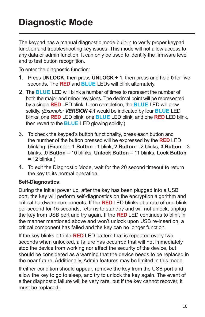The keypad has a manual diagnostic mode built-in to verify proper keypad function and troubleshooting key issues. This mode will not allow access to any data or admin function. It can only be used to identify the firmware level and to test button recognition.

To enter the diagnostic function:

- 1. Press **UNLOCK**, then press **UNLOCK + 1**, then press and hold **0** for five seconds. The **RED** and **BLUE** LEDs will blink alternately.
- 2. The **BLUE** LED will blink a number of times to represent the number of both the major and minor revisions. The decimal point will be represented by a single **RED** LED blink. Upon completion, the **BLUE** LED will glow solidly. *(Example: VERSION 4.1* would be indicated by four **BLUE** LED blinks, one **RED** LED blink, one **BLUE** LED blink, and one **RED** LED blink, then revert to the **BLUE** LED glowing solidly.)
- 3. To check the keypad's button functionality, press each button and the number of the button pressed will be expressed by the **RED** LED blinking. (Example: **1 Button**= 1 blink, **2 Button** = 2 blinks, **3 Button** = 3 blinks...**0 Button** = 10 blinks, **Unlock Button** = 11 blinks, **Lock Button**  $= 12$  blinks.)
- 4. To exit the Diagnostic Mode, wait for the 20 second timeout to return the key to its normal operation.

#### **Self-Diagnostics:**

During the initial power up, after the key has been plugged into a USB port, the key will perform self-diagnostics on the encryption algorithm and critical hardware components. If the **RED** LED blinks at a rate of one blink per second for 15 seconds, returns to standby and will not unlock, unplug the key from USB port and try again. If the **RED** LED continues to blink in the manner mentioned above and won't unlock upon USB re-insertion, a critical component has failed and the key can no longer function.

If the key blinks a triple-**RED** LED pattern that is repeated every two seconds when unlocked, a failure has occurred that will not immediately stop the device from working nor affect the security of the device, but should be considered as a warning that the device needs to be replaced in the near future. Additionally, Admin features may be limited in this mode.

If either condition should appear, remove the key from the USB port and allow the key to go to sleep, and try to unlock the key again. The event of either diagnostic failure will be very rare, but if the key cannot recover, it must be replaced.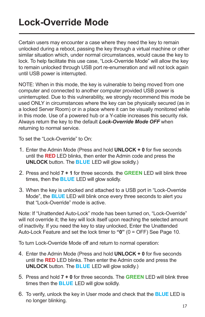# **Lock-Override Mode**

Certain users may encounter a case where they need the key to remain unlocked during a reboot, passing the key through a virtual machine or other similar situation which, under normal circumstances, would cause the key to lock. To help facilitate this use case, "Lock-Override Mode" will allow the key to remain unlocked through USB port re-enumeration and will not lock again until USB power is interrupted.

NOTE: When in this mode, the key is vulnerable to being moved from one computer and connected to another computer provided USB power is uninterrupted. Due to this vulnerability, we strongly recommend this mode be used ONLY in circumstances where the key can be physically secured (as in a locked Server Room) or in a place where it can be visually monitored while in this mode. Use of a powered hub or a Y-cable increases this security risk. Always return the key to the default *Lock-Override Mode OFF* when returning to normal service.

To set the "Lock-Override" to On:

- 1. Enter the Admin Mode (Press and hold **UNLOCK + 0** for five seconds until the **RED** LED blinks, then enter the Admin code and press the **UNLOCK** button. The **BLUE** LED will glow solidly.)
- 2. Press and hold **7 + 1** for three seconds. the **GREEN** LED will blink three times, then the **BLUE** LED will glow solidly.
- 3. When the key is unlocked and attached to a USB port in "Lock-Override Mode", the **BLUE** LED will blink once every three seconds to alert you that "Lock-Override" mode is active.

Note: If "Unattended Auto-Lock" mode has been turned on, "Lock-Override" will not override it; the key will lock itself upon reaching the selected amount of inactivity. If you need the key to stay unlocked, Enter the Unattended Auto-Lock Feature and set the lock timer to **"0"** (0 = OFF) See Page 10.

To turn Lock-Override Mode off and return to normal operation:

- 4. Enter the Admin Mode (Press and hold **UNLOCK + 0** for five seconds until the **RED** LED blinks. Then enter the Admin code and press the **UNLOCK** button. The **BLUE** LED will glow solidly.)
- 5. Press and hold **7 + 0** for three seconds. The **GREEN** LED will blink three times then the **BLUE** LED will glow solidly.
- 6. To verify, unlock the key in User mode and check that the **BLUE** LED is no longer blinking.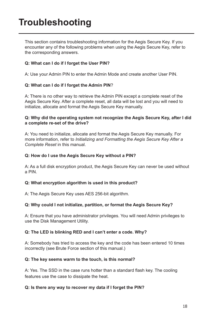# **Troubleshooting**

This section contains troubleshooting information for the Aegis Secure Key. If you encounter any of the following problems when using the Aegis Secure Key, refer to the corresponding answers.

#### **Q: What can I do if I forget the User PIN?**

A: Use your Admin PIN to enter the Admin Mode and create another User PIN.

#### **Q: What can I do if I forget the Admin PIN**?

A: There is no other way to retrieve the Admin PIN except a complete reset of the Aegis Secure Key. After a complete reset, all data will be lost and you will need to initialize, allocate and format the Aegis Secure Key manually.

#### **Q: Why did the operating system not recognize the Aegis Secure Key, after I did a complete re-set of the drive?**

A: You need to initialize, allocate and format the Aegis Secure Key manually. For more information, refer to *Initializing and Formatting the Aegis Secure Key After a Complete Reset* in this manual.

#### **Q: How do I use the Aegis Secure Key without a PIN?**

A: As a full disk encryption product, the Aegis Secure Key can never be used without a PIN.

#### **Q: What encryption algorithm is used in this product?**

A: The Aegis Secure Key uses AES 256-bit algorithm.

#### **Q: Why could I not initialize, partition, or format the Aegis Secure Key?**

A: Ensure that you have administrator privileges. You will need Admin privileges to use the Disk Management Utility.

#### **Q: The LED is blinking RED and I can't enter a code. Why?**

A: Somebody has tried to access the key and the code has been entered 10 times incorrectly (see Brute Force section of this manual.)

#### **Q: The key seems warm to the touch, is this normal?**

A: Yes. The SSD in the case runs hotter than a standard flash key. The cooling features use the case to dissipate the heat.

#### **Q: Is there any way to recover my data if I forget the PIN?**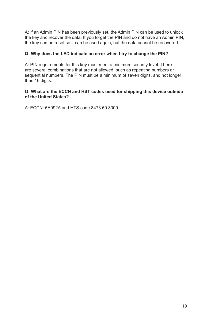A: If an Admin PIN has been previously set, the Admin PIN can be used to unlock the key and recover the data. If you forget the PIN and do not have an Admin PIN, the key can be reset so it can be used again, but the data cannot be recovered.

#### **Q: Why does the LED indicate an error when I try to change the PIN?**

A: PIN requirements for this key must meet a minimum security level. There are several combinations that are not allowed, such as repeating numbers or sequential numbers. The PIN must be a minimum of seven digits, and not longer than 16 digits.

#### **Q: What are the ECCN and HST codes used for shipping this device outside of the United States?**

A: ECCN: 5A992A and HTS code 8473.50.3000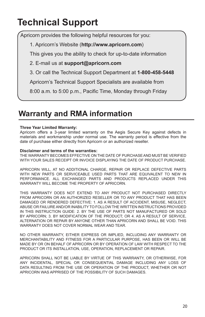# **Technical Support**

Apricorn provides the following helpful resources for you:

1. Apricorn's Website (**http://www.apricorn.com**)

This gives you the ability to check for up-to-date information

2. E-mail us at **support@apricorn.com**

3. Or call the Technical Support Department at **1-800-458-5448**

Apricorn's Technical Support Specialists are available from

8:00 a.m. to 5:00 p.m., Pacific Time, Monday through Friday

### **Warranty and RMA information**

#### **Three Year Limited Warranty:**

Apricorn offers a 3-year limited warranty on the Aegis Secure Key against defects in materials and workmanship under normal use. The warranty period is effective from the date of purchase either directly from Apricorn or an authorized reseller.

#### **Disclaimer and terms of the warranties:**

THE WARRANTY BECOMES EFFECTIVE ON THE DATE OF PURCHASE AND MUST BE VERIFIED WITH YOUR SALES RECEIPT OR INVOICE DISPLAYING THE DATE OF PRODUCT PURCHASE.

APRICORN WILL, AT NO ADDITIONAL CHARGE, REPAIR OR REPLACE DEFECTIVE PARTS WITH NEW PARTS OR SERVICEABLE USED PARTS THAT ARE EQUIVALENT TO NEW IN PERFORMANCE. ALL EXCHANGED PARTS AND PRODUCTS REPLACED UNDER THIS WARRANTY WILL BECOME THE PROPERTY OF APRICORN.

THIS WARRANTY DOES NOT EXTEND TO ANY PRODUCT NOT PURCHASED DIRECTLY FROM APRICORN OR AN AUTHORIZED RESELLER OR TO ANY PRODUCT THAT HAS BEEN DAMAGED OR RENDERED DEFECTIVE: 1. AS A RESULT OF ACCIDENT, MISUSE, NEGLECT, ABUSE OR FAILURE AND/OR INABILITY TO FOLLOW THE WRITTEN INSTRUCTIONS PROVIDED IN THIS INSTRUCTION GUIDE: 2. BY THE USE OF PARTS NOT MANUFACTURED OR SOLD BY APRICORN; 3. BY MODIFICATION OF THE PRODUCT; OR 4. AS A RESULT OF SERVICE, ALTERNATION OR REPAIR BY ANYONE OTHER THAN APRICORN AND SHALL BE VOID. THIS WARRANTY DOES NOT COVER NORMAL WEAR AND TEAR.

NO OTHER WARRANTY, EITHER EXPRESS OR IMPLIED, INCLUDING ANY WARRANTY OR MERCHANTABILITY AND FITNESS FOR A PARTICULAR PURPOSE, HAS BEEN OR WILL BE MADE BY OR ON BEHALF OF APRICORN OR BY OPERATION OF LAW WITH RESPECT TO THE PRODUCT OR ITS INSTALLATION, USE, OPERATION, REPLACEMENT OR REPAIR.

APRICORN SHALL NOT BE LIABLE BY VIRTUE OF THIS WARRANTY, OR OTHERWISE, FOR ANY INCIDENTAL, SPECIAL OR CONSEQUENTIAL DAMAGE INCLUDING ANY LOSS OF DATA RESULTING FROM THE USE OR OPERATION OF THE PRODUCT, WHETHER OR NOT APRICORN WAS APPRISED OF THE POSSIBILITY OF SUCH DAMAGES.